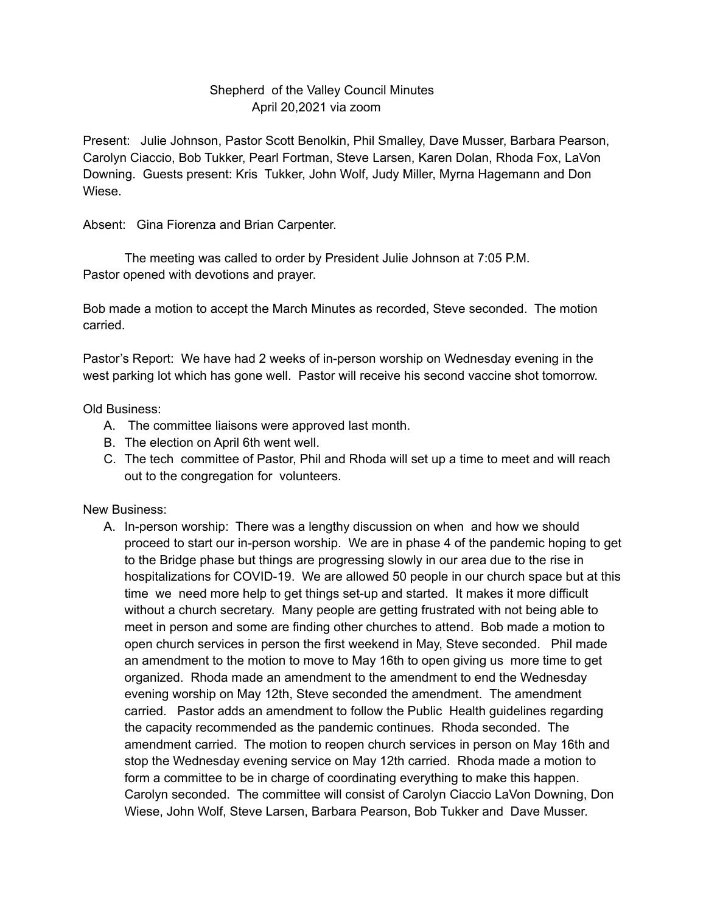## Shepherd of the Valley Council Minutes April 20,2021 via zoom

Present: Julie Johnson, Pastor Scott Benolkin, Phil Smalley, Dave Musser, Barbara Pearson, Carolyn Ciaccio, Bob Tukker, Pearl Fortman, Steve Larsen, Karen Dolan, Rhoda Fox, LaVon Downing. Guests present: Kris Tukker, John Wolf, Judy Miller, Myrna Hagemann and Don Wiese.

Absent: Gina Fiorenza and Brian Carpenter.

The meeting was called to order by President Julie Johnson at 7:05 P.M. Pastor opened with devotions and prayer.

Bob made a motion to accept the March Minutes as recorded, Steve seconded. The motion carried.

Pastor's Report: We have had 2 weeks of in-person worship on Wednesday evening in the west parking lot which has gone well. Pastor will receive his second vaccine shot tomorrow.

Old Business:

- A. The committee liaisons were approved last month.
- B. The election on April 6th went well.
- C. The tech committee of Pastor, Phil and Rhoda will set up a time to meet and will reach out to the congregation for volunteers.

New Business:

A. In-person worship: There was a lengthy discussion on when and how we should proceed to start our in-person worship. We are in phase 4 of the pandemic hoping to get to the Bridge phase but things are progressing slowly in our area due to the rise in hospitalizations for COVID-19. We are allowed 50 people in our church space but at this time we need more help to get things set-up and started. It makes it more difficult without a church secretary. Many people are getting frustrated with not being able to meet in person and some are finding other churches to attend. Bob made a motion to open church services in person the first weekend in May, Steve seconded. Phil made an amendment to the motion to move to May 16th to open giving us more time to get organized. Rhoda made an amendment to the amendment to end the Wednesday evening worship on May 12th, Steve seconded the amendment. The amendment carried. Pastor adds an amendment to follow the Public Health guidelines regarding the capacity recommended as the pandemic continues. Rhoda seconded. The amendment carried. The motion to reopen church services in person on May 16th and stop the Wednesday evening service on May 12th carried. Rhoda made a motion to form a committee to be in charge of coordinating everything to make this happen. Carolyn seconded. The committee will consist of Carolyn Ciaccio LaVon Downing, Don Wiese, John Wolf, Steve Larsen, Barbara Pearson, Bob Tukker and Dave Musser.